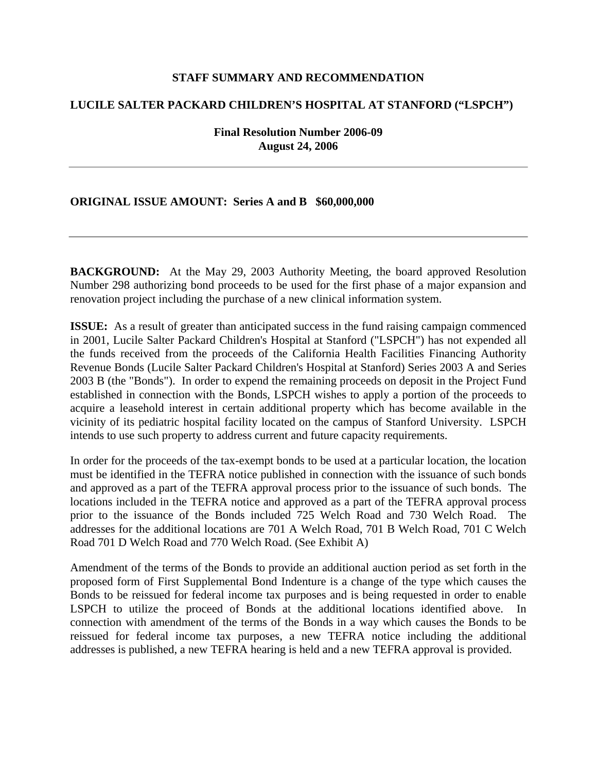## **STAFF SUMMARY AND RECOMMENDATION**

## **LUCILE SALTER PACKARD CHILDREN'S HOSPITAL AT STANFORD ("LSPCH")**

**Final Resolution Number 2006-09 August 24, 2006** 

## **ORIGINAL ISSUE AMOUNT: Series A and B \$60,000,000**

**BACKGROUND:** At the May 29, 2003 Authority Meeting, the board approved Resolution Number 298 authorizing bond proceeds to be used for the first phase of a major expansion and renovation project including the purchase of a new clinical information system.

**ISSUE:** As a result of greater than anticipated success in the fund raising campaign commenced in 2001, Lucile Salter Packard Children's Hospital at Stanford ("LSPCH") has not expended all the funds received from the proceeds of the California Health Facilities Financing Authority Revenue Bonds (Lucile Salter Packard Children's Hospital at Stanford) Series 2003 A and Series 2003 B (the "Bonds"). In order to expend the remaining proceeds on deposit in the Project Fund established in connection with the Bonds, LSPCH wishes to apply a portion of the proceeds to acquire a leasehold interest in certain additional property which has become available in the vicinity of its pediatric hospital facility located on the campus of Stanford University. LSPCH intends to use such property to address current and future capacity requirements.

In order for the proceeds of the tax-exempt bonds to be used at a particular location, the location must be identified in the TEFRA notice published in connection with the issuance of such bonds and approved as a part of the TEFRA approval process prior to the issuance of such bonds. The locations included in the TEFRA notice and approved as a part of the TEFRA approval process prior to the issuance of the Bonds included 725 Welch Road and 730 Welch Road. The addresses for the additional locations are 701 A Welch Road, 701 B Welch Road, 701 C Welch Road 701 D Welch Road and 770 Welch Road. (See Exhibit A)

Amendment of the terms of the Bonds to provide an additional auction period as set forth in the proposed form of First Supplemental Bond Indenture is a change of the type which causes the Bonds to be reissued for federal income tax purposes and is being requested in order to enable LSPCH to utilize the proceed of Bonds at the additional locations identified above. connection with amendment of the terms of the Bonds in a way which causes the Bonds to be reissued for federal income tax purposes, a new TEFRA notice including the additional addresses is published, a new TEFRA hearing is held and a new TEFRA approval is provided.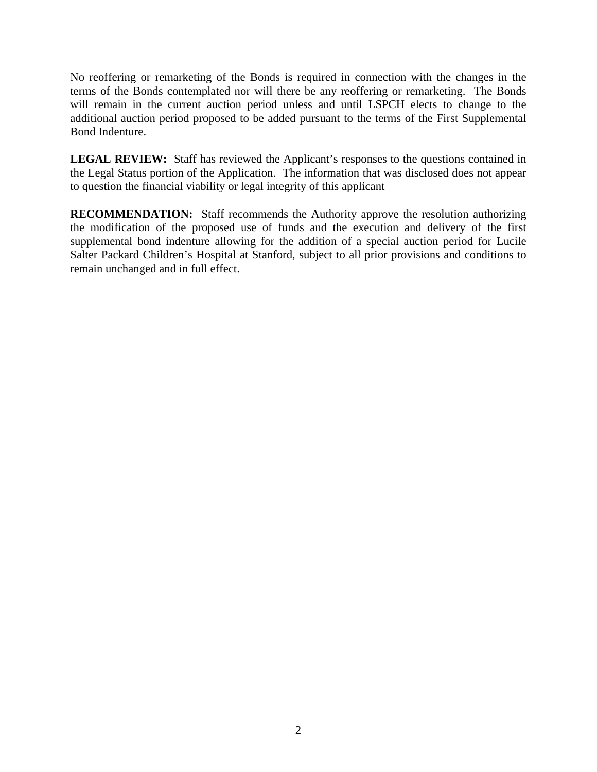No reoffering or remarketing of the Bonds is required in connection with the changes in the terms of the Bonds contemplated nor will there be any reoffering or remarketing. The Bonds will remain in the current auction period unless and until LSPCH elects to change to the additional auction period proposed to be added pursuant to the terms of the First Supplemental Bond Indenture.

LEGAL REVIEW: Staff has reviewed the Applicant's responses to the questions contained in the Legal Status portion of the Application. The information that was disclosed does not appear to question the financial viability or legal integrity of this applicant

**RECOMMENDATION:** Staff recommends the Authority approve the resolution authorizing the modification of the proposed use of funds and the execution and delivery of the first supplemental bond indenture allowing for the addition of a special auction period for Lucile Salter Packard Children's Hospital at Stanford, subject to all prior provisions and conditions to remain unchanged and in full effect.